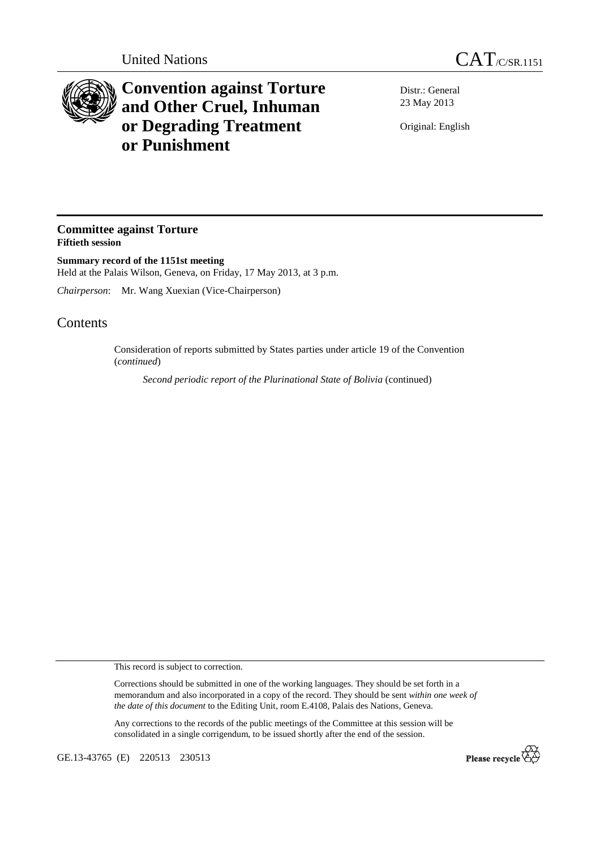



## **Convention against Torture and Other Cruel, Inhuman or Degrading Treatment or Punishment**

Distr.: General 23 May 2013

Original: English

## **Committee against Torture Fiftieth session**

**Summary record of the 1151st meeting**  Held at the Palais Wilson, Geneva, on Friday, 17 May 2013, at 3 p.m.

*Chairperson*: Mr. Wang Xuexian (Vice-Chairperson)

## **Contents**

Consideration of reports submitted by States parties under article 19 of the Convention (*continued*)

*Second periodic report of the Plurinational State of Bolivia* (continued)

This record is subject to correction.

Corrections should be submitted in one of the working languages. They should be set forth in a memorandum and also incorporated in a copy of the record. They should be sent *within one week of the date of this document* to the Editing Unit, room E.4108, Palais des Nations, Geneva.

Any corrections to the records of the public meetings of the Committee at this session will be consolidated in a single corrigendum, to be issued shortly after the end of the session.

GE.13-43765 (E) 220513 230513

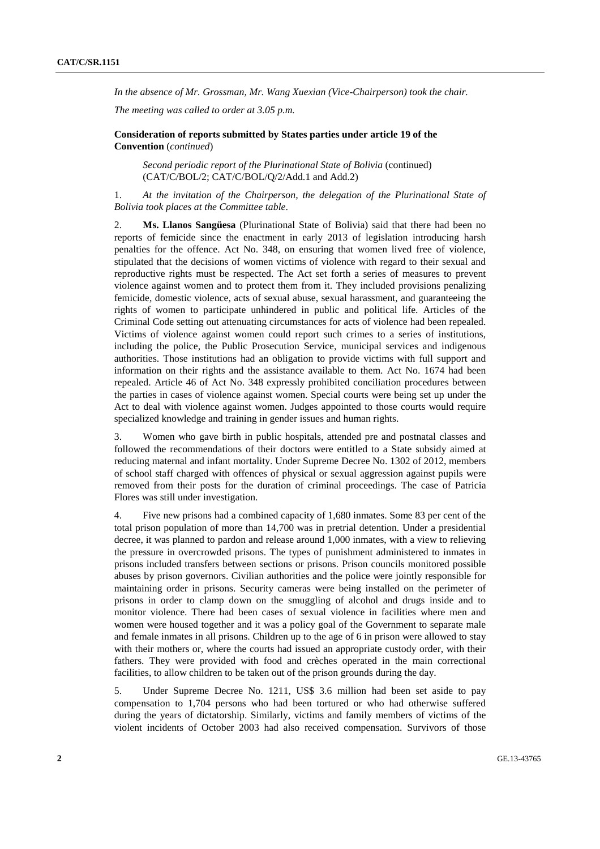*In the absence of Mr. Grossman, Mr. Wang Xuexian (Vice-Chairperson) took the chair.* 

*The meeting was called to order at 3.05 p.m.* 

 **Consideration of reports submitted by States parties under article 19 of the Convention** (*continued*)

*Second periodic report of the Plurinational State of Bolivia* (continued) (CAT/C/BOL/2; CAT/C/BOL/Q/2/Add.1 and Add.2)

1. *At the invitation of the Chairperson, the delegation of the Plurinational State of Bolivia took places at the Committee table*.

2. **Ms. Llanos Sangüesa** (Plurinational State of Bolivia) said that there had been no reports of femicide since the enactment in early 2013 of legislation introducing harsh penalties for the offence. Act No. 348, on ensuring that women lived free of violence, stipulated that the decisions of women victims of violence with regard to their sexual and reproductive rights must be respected. The Act set forth a series of measures to prevent violence against women and to protect them from it. They included provisions penalizing femicide, domestic violence, acts of sexual abuse, sexual harassment, and guaranteeing the rights of women to participate unhindered in public and political life. Articles of the Criminal Code setting out attenuating circumstances for acts of violence had been repealed. Victims of violence against women could report such crimes to a series of institutions, including the police, the Public Prosecution Service, municipal services and indigenous authorities. Those institutions had an obligation to provide victims with full support and information on their rights and the assistance available to them. Act No. 1674 had been repealed. Article 46 of Act No. 348 expressly prohibited conciliation procedures between the parties in cases of violence against women. Special courts were being set up under the Act to deal with violence against women. Judges appointed to those courts would require specialized knowledge and training in gender issues and human rights.

3. Women who gave birth in public hospitals, attended pre and postnatal classes and followed the recommendations of their doctors were entitled to a State subsidy aimed at reducing maternal and infant mortality. Under Supreme Decree No. 1302 of 2012, members of school staff charged with offences of physical or sexual aggression against pupils were removed from their posts for the duration of criminal proceedings. The case of Patricia Flores was still under investigation.

4. Five new prisons had a combined capacity of 1,680 inmates. Some 83 per cent of the total prison population of more than 14,700 was in pretrial detention. Under a presidential decree, it was planned to pardon and release around 1,000 inmates, with a view to relieving the pressure in overcrowded prisons. The types of punishment administered to inmates in prisons included transfers between sections or prisons. Prison councils monitored possible abuses by prison governors. Civilian authorities and the police were jointly responsible for maintaining order in prisons. Security cameras were being installed on the perimeter of prisons in order to clamp down on the smuggling of alcohol and drugs inside and to monitor violence. There had been cases of sexual violence in facilities where men and women were housed together and it was a policy goal of the Government to separate male and female inmates in all prisons. Children up to the age of 6 in prison were allowed to stay with their mothers or, where the courts had issued an appropriate custody order, with their fathers. They were provided with food and crèches operated in the main correctional facilities, to allow children to be taken out of the prison grounds during the day.

5. Under Supreme Decree No. 1211, US\$ 3.6 million had been set aside to pay compensation to 1,704 persons who had been tortured or who had otherwise suffered during the years of dictatorship. Similarly, victims and family members of victims of the violent incidents of October 2003 had also received compensation. Survivors of those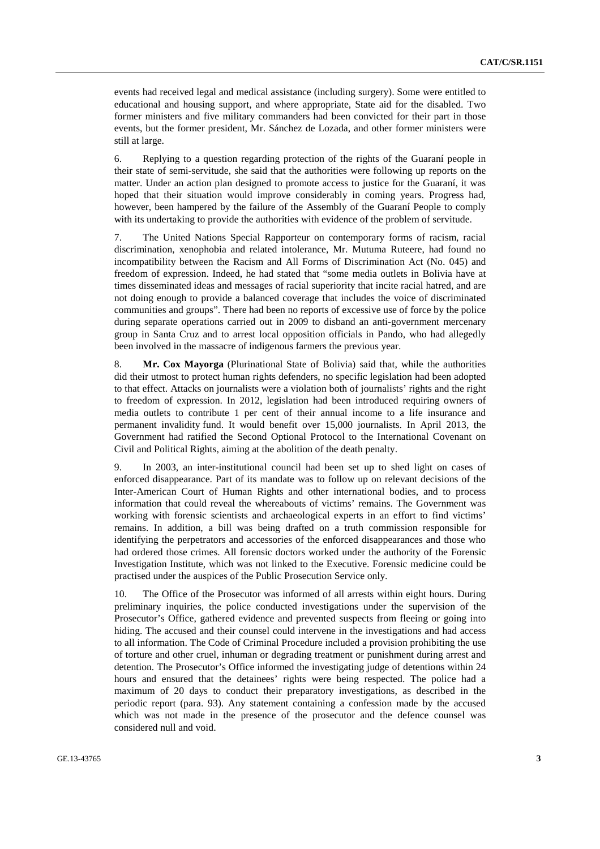events had received legal and medical assistance (including surgery). Some were entitled to educational and housing support, and where appropriate, State aid for the disabled. Two former ministers and five military commanders had been convicted for their part in those events, but the former president, Mr. Sánchez de Lozada, and other former ministers were still at large.

6. Replying to a question regarding protection of the rights of the Guaraní people in their state of semi-servitude, she said that the authorities were following up reports on the matter. Under an action plan designed to promote access to justice for the Guaraní, it was hoped that their situation would improve considerably in coming years. Progress had, however, been hampered by the failure of the Assembly of the Guaraní People to comply with its undertaking to provide the authorities with evidence of the problem of servitude.

7. The United Nations Special Rapporteur on contemporary forms of racism, racial discrimination, xenophobia and related intolerance, Mr. Mutuma Ruteere, had found no incompatibility between the Racism and All Forms of Discrimination Act (No. 045) and freedom of expression. Indeed, he had stated that "some media outlets in Bolivia have at times disseminated ideas and messages of racial superiority that incite racial hatred, and are not doing enough to provide a balanced coverage that includes the voice of discriminated communities and groups". There had been no reports of excessive use of force by the police during separate operations carried out in 2009 to disband an anti-government mercenary group in Santa Cruz and to arrest local opposition officials in Pando, who had allegedly been involved in the massacre of indigenous farmers the previous year.

8. **Mr. Cox Mayorga** (Plurinational State of Bolivia) said that, while the authorities did their utmost to protect human rights defenders, no specific legislation had been adopted to that effect. Attacks on journalists were a violation both of journalists' rights and the right to freedom of expression. In 2012, legislation had been introduced requiring owners of media outlets to contribute 1 per cent of their annual income to a life insurance and permanent invalidity fund. It would benefit over 15,000 journalists. In April 2013, the Government had ratified the Second Optional Protocol to the International Covenant on Civil and Political Rights, aiming at the abolition of the death penalty.

9. In 2003, an inter-institutional council had been set up to shed light on cases of enforced disappearance. Part of its mandate was to follow up on relevant decisions of the Inter-American Court of Human Rights and other international bodies, and to process information that could reveal the whereabouts of victims' remains. The Government was working with forensic scientists and archaeological experts in an effort to find victims' remains. In addition, a bill was being drafted on a truth commission responsible for identifying the perpetrators and accessories of the enforced disappearances and those who had ordered those crimes. All forensic doctors worked under the authority of the Forensic Investigation Institute, which was not linked to the Executive. Forensic medicine could be practised under the auspices of the Public Prosecution Service only.

10. The Office of the Prosecutor was informed of all arrests within eight hours. During preliminary inquiries, the police conducted investigations under the supervision of the Prosecutor's Office, gathered evidence and prevented suspects from fleeing or going into hiding. The accused and their counsel could intervene in the investigations and had access to all information. The Code of Criminal Procedure included a provision prohibiting the use of torture and other cruel, inhuman or degrading treatment or punishment during arrest and detention. The Prosecutor's Office informed the investigating judge of detentions within 24 hours and ensured that the detainees' rights were being respected. The police had a maximum of 20 days to conduct their preparatory investigations, as described in the periodic report (para. 93). Any statement containing a confession made by the accused which was not made in the presence of the prosecutor and the defence counsel was considered null and void.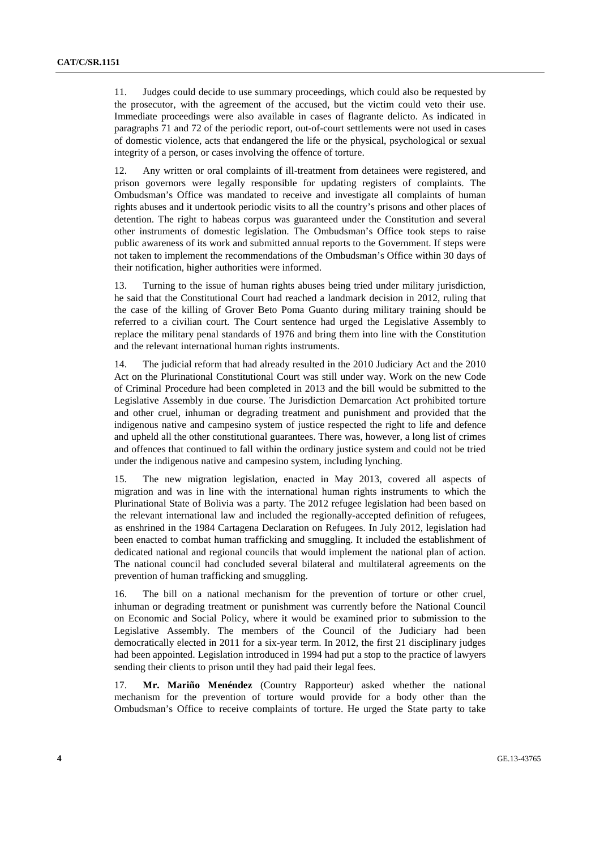11. Judges could decide to use summary proceedings, which could also be requested by the prosecutor, with the agreement of the accused, but the victim could veto their use. Immediate proceedings were also available in cases of flagrante delicto. As indicated in paragraphs 71 and 72 of the periodic report, out-of-court settlements were not used in cases of domestic violence, acts that endangered the life or the physical, psychological or sexual integrity of a person, or cases involving the offence of torture.

12. Any written or oral complaints of ill-treatment from detainees were registered, and prison governors were legally responsible for updating registers of complaints. The Ombudsman's Office was mandated to receive and investigate all complaints of human rights abuses and it undertook periodic visits to all the country's prisons and other places of detention. The right to habeas corpus was guaranteed under the Constitution and several other instruments of domestic legislation. The Ombudsman's Office took steps to raise public awareness of its work and submitted annual reports to the Government. If steps were not taken to implement the recommendations of the Ombudsman's Office within 30 days of their notification, higher authorities were informed.

13. Turning to the issue of human rights abuses being tried under military jurisdiction, he said that the Constitutional Court had reached a landmark decision in 2012, ruling that the case of the killing of Grover Beto Poma Guanto during military training should be referred to a civilian court. The Court sentence had urged the Legislative Assembly to replace the military penal standards of 1976 and bring them into line with the Constitution and the relevant international human rights instruments.

14. The judicial reform that had already resulted in the 2010 Judiciary Act and the 2010 Act on the Plurinational Constitutional Court was still under way. Work on the new Code of Criminal Procedure had been completed in 2013 and the bill would be submitted to the Legislative Assembly in due course. The Jurisdiction Demarcation Act prohibited torture and other cruel, inhuman or degrading treatment and punishment and provided that the indigenous native and campesino system of justice respected the right to life and defence and upheld all the other constitutional guarantees. There was, however, a long list of crimes and offences that continued to fall within the ordinary justice system and could not be tried under the indigenous native and campesino system, including lynching.

15. The new migration legislation, enacted in May 2013, covered all aspects of migration and was in line with the international human rights instruments to which the Plurinational State of Bolivia was a party. The 2012 refugee legislation had been based on the relevant international law and included the regionally-accepted definition of refugees, as enshrined in the 1984 Cartagena Declaration on Refugees. In July 2012, legislation had been enacted to combat human trafficking and smuggling. It included the establishment of dedicated national and regional councils that would implement the national plan of action. The national council had concluded several bilateral and multilateral agreements on the prevention of human trafficking and smuggling.

16. The bill on a national mechanism for the prevention of torture or other cruel, inhuman or degrading treatment or punishment was currently before the National Council on Economic and Social Policy, where it would be examined prior to submission to the Legislative Assembly. The members of the Council of the Judiciary had been democratically elected in 2011 for a six-year term. In 2012, the first 21 disciplinary judges had been appointed. Legislation introduced in 1994 had put a stop to the practice of lawyers sending their clients to prison until they had paid their legal fees.

17. **Mr. Mariño Menéndez** (Country Rapporteur) asked whether the national mechanism for the prevention of torture would provide for a body other than the Ombudsman's Office to receive complaints of torture. He urged the State party to take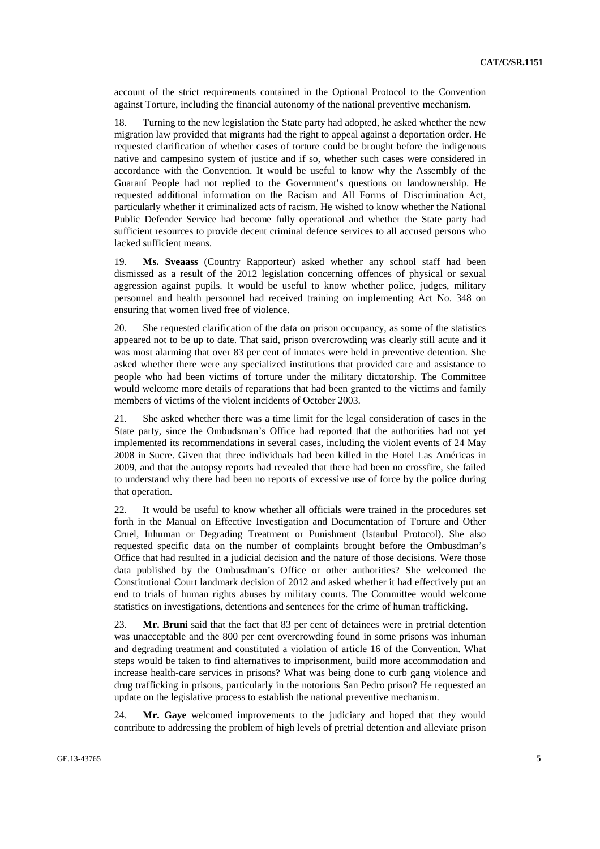account of the strict requirements contained in the Optional Protocol to the Convention against Torture, including the financial autonomy of the national preventive mechanism.

18. Turning to the new legislation the State party had adopted, he asked whether the new migration law provided that migrants had the right to appeal against a deportation order. He requested clarification of whether cases of torture could be brought before the indigenous native and campesino system of justice and if so, whether such cases were considered in accordance with the Convention. It would be useful to know why the Assembly of the Guaraní People had not replied to the Government's questions on landownership. He requested additional information on the Racism and All Forms of Discrimination Act, particularly whether it criminalized acts of racism. He wished to know whether the National Public Defender Service had become fully operational and whether the State party had sufficient resources to provide decent criminal defence services to all accused persons who lacked sufficient means.

19. **Ms. Sveaass** (Country Rapporteur) asked whether any school staff had been dismissed as a result of the 2012 legislation concerning offences of physical or sexual aggression against pupils. It would be useful to know whether police, judges, military personnel and health personnel had received training on implementing Act No. 348 on ensuring that women lived free of violence.

20. She requested clarification of the data on prison occupancy, as some of the statistics appeared not to be up to date. That said, prison overcrowding was clearly still acute and it was most alarming that over 83 per cent of inmates were held in preventive detention. She asked whether there were any specialized institutions that provided care and assistance to people who had been victims of torture under the military dictatorship. The Committee would welcome more details of reparations that had been granted to the victims and family members of victims of the violent incidents of October 2003.

21. She asked whether there was a time limit for the legal consideration of cases in the State party, since the Ombudsman's Office had reported that the authorities had not yet implemented its recommendations in several cases, including the violent events of 24 May 2008 in Sucre. Given that three individuals had been killed in the Hotel Las Américas in 2009, and that the autopsy reports had revealed that there had been no crossfire, she failed to understand why there had been no reports of excessive use of force by the police during that operation.

22. It would be useful to know whether all officials were trained in the procedures set forth in the Manual on Effective Investigation and Documentation of Torture and Other Cruel, Inhuman or Degrading Treatment or Punishment (Istanbul Protocol). She also requested specific data on the number of complaints brought before the Ombusdman's Office that had resulted in a judicial decision and the nature of those decisions. Were those data published by the Ombusdman's Office or other authorities? She welcomed the Constitutional Court landmark decision of 2012 and asked whether it had effectively put an end to trials of human rights abuses by military courts. The Committee would welcome statistics on investigations, detentions and sentences for the crime of human trafficking.

23. **Mr. Bruni** said that the fact that 83 per cent of detainees were in pretrial detention was unacceptable and the 800 per cent overcrowding found in some prisons was inhuman and degrading treatment and constituted a violation of article 16 of the Convention. What steps would be taken to find alternatives to imprisonment, build more accommodation and increase health-care services in prisons? What was being done to curb gang violence and drug trafficking in prisons, particularly in the notorious San Pedro prison? He requested an update on the legislative process to establish the national preventive mechanism.

24. **Mr. Gaye** welcomed improvements to the judiciary and hoped that they would contribute to addressing the problem of high levels of pretrial detention and alleviate prison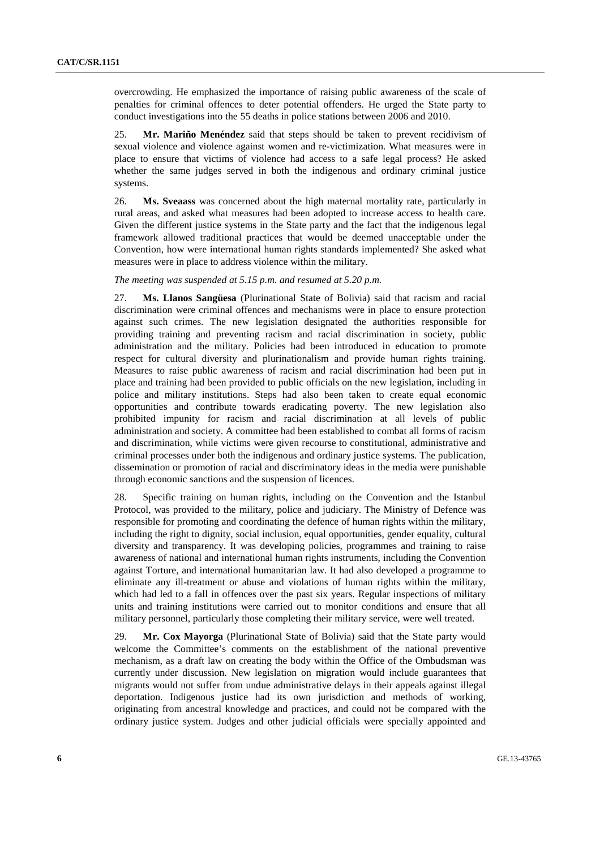overcrowding. He emphasized the importance of raising public awareness of the scale of penalties for criminal offences to deter potential offenders. He urged the State party to conduct investigations into the 55 deaths in police stations between 2006 and 2010.

25. **Mr. Mariño Menéndez** said that steps should be taken to prevent recidivism of sexual violence and violence against women and re-victimization. What measures were in place to ensure that victims of violence had access to a safe legal process? He asked whether the same judges served in both the indigenous and ordinary criminal justice systems.

26. **Ms. Sveaass** was concerned about the high maternal mortality rate, particularly in rural areas, and asked what measures had been adopted to increase access to health care. Given the different justice systems in the State party and the fact that the indigenous legal framework allowed traditional practices that would be deemed unacceptable under the Convention, how were international human rights standards implemented? She asked what measures were in place to address violence within the military.

*The meeting was suspended at 5.15 p.m. and resumed at 5.20 p.m.* 

27. **Ms. Llanos Sangüesa** (Plurinational State of Bolivia) said that racism and racial discrimination were criminal offences and mechanisms were in place to ensure protection against such crimes. The new legislation designated the authorities responsible for providing training and preventing racism and racial discrimination in society, public administration and the military. Policies had been introduced in education to promote respect for cultural diversity and plurinationalism and provide human rights training. Measures to raise public awareness of racism and racial discrimination had been put in place and training had been provided to public officials on the new legislation, including in police and military institutions. Steps had also been taken to create equal economic opportunities and contribute towards eradicating poverty. The new legislation also prohibited impunity for racism and racial discrimination at all levels of public administration and society. A committee had been established to combat all forms of racism and discrimination, while victims were given recourse to constitutional, administrative and criminal processes under both the indigenous and ordinary justice systems. The publication, dissemination or promotion of racial and discriminatory ideas in the media were punishable through economic sanctions and the suspension of licences.

28. Specific training on human rights, including on the Convention and the Istanbul Protocol, was provided to the military, police and judiciary. The Ministry of Defence was responsible for promoting and coordinating the defence of human rights within the military, including the right to dignity, social inclusion, equal opportunities, gender equality, cultural diversity and transparency. It was developing policies, programmes and training to raise awareness of national and international human rights instruments, including the Convention against Torture, and international humanitarian law. It had also developed a programme to eliminate any ill-treatment or abuse and violations of human rights within the military, which had led to a fall in offences over the past six years. Regular inspections of military units and training institutions were carried out to monitor conditions and ensure that all military personnel, particularly those completing their military service, were well treated.

29. **Mr. Cox Mayorga** (Plurinational State of Bolivia) said that the State party would welcome the Committee's comments on the establishment of the national preventive mechanism, as a draft law on creating the body within the Office of the Ombudsman was currently under discussion. New legislation on migration would include guarantees that migrants would not suffer from undue administrative delays in their appeals against illegal deportation. Indigenous justice had its own jurisdiction and methods of working, originating from ancestral knowledge and practices, and could not be compared with the ordinary justice system. Judges and other judicial officials were specially appointed and